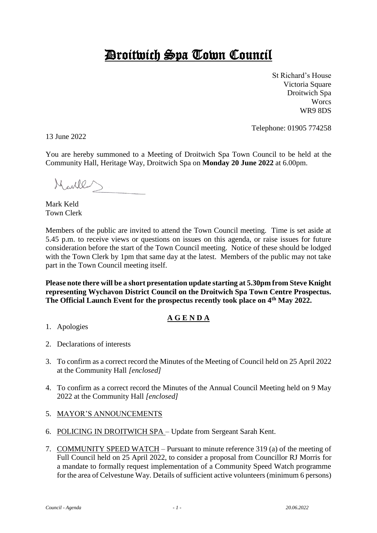# Droitwich Spa Town Council

St Richard's House Victoria Square Droitwich Spa **Worcs** WR9 8DS

Telephone: 01905 774258

13 June 2022

You are hereby summoned to a Meeting of Droitwich Spa Town Council to be held at the Community Hall, Heritage Way, Droitwich Spa on **Monday 20 June 2022** at 6.00pm.

Meulles

Mark Keld Town Clerk

Members of the public are invited to attend the Town Council meeting. Time is set aside at 5.45 p.m. to receive views or questions on issues on this agenda, or raise issues for future consideration before the start of the Town Council meeting. Notice of these should be lodged with the Town Clerk by 1pm that same day at the latest. Members of the public may not take part in the Town Council meeting itself.

**Please note there will be a short presentation update starting at 5.30pm from Steve Knight representing Wychavon District Council on the Droitwich Spa Town Centre Prospectus. The Official Launch Event for the prospectus recently took place on 4th May 2022.** 

## **A G E N D A**

- 1. Apologies
- 2. Declarations of interests
- 3. To confirm as a correct record the Minutes of the Meeting of Council held on 25 April 2022 at the Community Hall *[enclosed]*
- 4. To confirm as a correct record the Minutes of the Annual Council Meeting held on 9 May 2022 at the Community Hall *[enclosed]*

## 5. MAYOR'S ANNOUNCEMENTS

- 6. POLICING IN DROITWICH SPA Update from Sergeant Sarah Kent.
- 7. COMMUNITY SPEED WATCH Pursuant to minute reference 319 (a) of the meeting of Full Council held on 25 April 2022, to consider a proposal from Councillor RJ Morris for a mandate to formally request implementation of a Community Speed Watch programme for the area of Celvestune Way. Details of sufficient active volunteers (minimum 6 persons)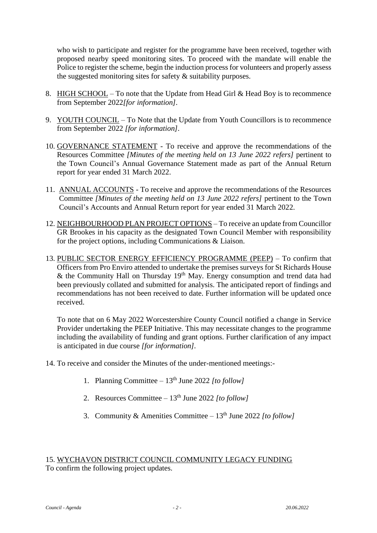who wish to participate and register for the programme have been received, together with proposed nearby speed monitoring sites. To proceed with the mandate will enable the Police to register the scheme, begin the induction process for volunteers and properly assess the suggested monitoring sites for safety & suitability purposes.

- 8. HIGH SCHOOL To note that the Update from Head Girl & Head Boy is to recommence from September 2022*[for information].*
- 9. YOUTH COUNCIL To Note that the Update from Youth Councillors is to recommence from September 2022 *[for information].*
- 10. GOVERNANCE STATEMENT To receive and approve the recommendations of the Resources Committee *[Minutes of the meeting held on 13 June 2022 refers]* pertinent to the Town Council's Annual Governance Statement made as part of the Annual Return report for year ended 31 March 2022.
- 11. ANNUAL ACCOUNTS To receive and approve the recommendations of the Resources Committee *[Minutes of the meeting held on 13 June 2022 refers]* pertinent to the Town Council's Accounts and Annual Return report for year ended 31 March 2022.
- 12. NEIGHBOURHOOD PLAN PROJECT OPTIONS To receive an update from Councillor GR Brookes in his capacity as the designated Town Council Member with responsibility for the project options, including Communications & Liaison.
- 13. PUBLIC SECTOR ENERGY EFFICIENCY PROGRAMME (PEEP) To confirm that Officers from Pro Enviro attended to undertake the premises surveys for St Richards House & the Community Hall on Thursday  $19<sup>th</sup>$  May. Energy consumption and trend data had been previously collated and submitted for analysis. The anticipated report of findings and recommendations has not been received to date. Further information will be updated once received.

To note that on 6 May 2022 Worcestershire County Council notified a change in Service Provider undertaking the PEEP Initiative. This may necessitate changes to the programme including the availability of funding and grant options. Further clarification of any impact is anticipated in due course *[for information].*

- 14. To receive and consider the Minutes of the under-mentioned meetings:-
	- 1. Planning Committee  $-13<sup>th</sup>$  June 2022 [to follow]
	- 2. Resources Committee 13th June 2022 *[to follow]*
	- 3. Community & Amenities Committee  $13<sup>th</sup>$  June 2022 [to follow]

### 15. WYCHAVON DISTRICT COUNCIL COMMUNITY LEGACY FUNDING To confirm the following project updates.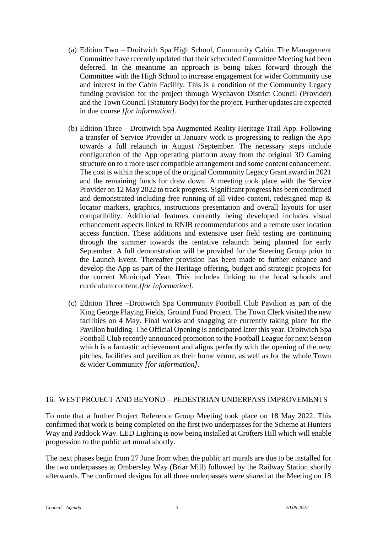- (a) Edition Two Droitwich Spa High School, Community Cabin. The Management Committee have recently updated that their scheduled Committee Meeting had been deferred. In the meantime an approach is being taken forward through the Committee with the High School to increase engagement for wider Community use and interest in the Cabin Facility. This is a condition of the Community Legacy funding provision for the project through Wychavon District Council (Provider) and the Town Council (Statutory Body) for the project. Further updates are expected in due course *[for information].*
- (b) Edition Three Droitwich Spa Augmented Reality Heritage Trail App. Following a transfer of Service Provider in January work is progressing to realign the App towards a full relaunch in August /September. The necessary steps include configuration of the App operating platform away from the original 3D Gaming structure on to a more user compatible arrangement and some content enhancement. The cost is within the scope of the original Community Legacy Grant award in 2021 and the remaining funds for draw down. A meeting took place with the Service Provider on 12 May 2022 to track progress. Significant progress has been confirmed and demonstrated including free running of all video content, redesigned map & locator markers, graphics, instructions presentation and overall layouts for user compatibility. Additional features currently being developed includes visual enhancement aspects linked to RNIB recommendations and a remote user location access function. These additions and extensive user field testing are continuing through the summer towards the tentative relaunch being planned for early September. A full demonstration will be provided for the Steering Group prior to the Launch Event. Thereafter provision has been made to further enhance and develop the App as part of the Heritage offering, budget and strategic projects for the current Municipal Year. This includes linking to the local schools and curriculum content.*[for information].*
- (c) Edition Three –Droitwich Spa Community Football Club Pavilion as part of the King George Playing Fields, Ground Fund Project. The Town Clerk visited the new facilities on 4 May. Final works and snagging are currently taking place for the Pavilion building. The Official Opening is anticipated later this year. Droitwich Spa Football Club recently announced promotion to the Football League for next Season which is a fantastic achievement and aligns perfectly with the opening of the new pitches, facilities and pavilion as their home venue, as well as for the whole Town & wider Community *[for information].*

#### 16. WEST PROJECT AND BEYOND – PEDESTRIAN UNDERPASS IMPROVEMENTS

To note that a further Project Reference Group Meeting took place on 18 May 2022. This confirmed that work is being completed on the first two underpasses for the Scheme at Hunters Way and Paddock Way. LED Lighting is now being installed at Crofters Hill which will enable progression to the public art mural shortly.

The next phases begin from 27 June from when the public art murals are due to be installed for the two underpasses at Ombersley Way (Briar Mill) followed by the Railway Station shortly afterwards. The confirmed designs for all three underpasses were shared at the Meeting on 18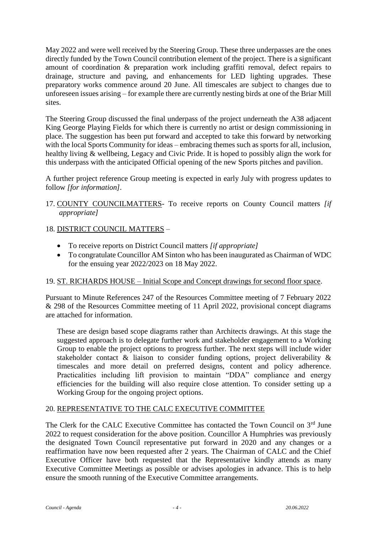May 2022 and were well received by the Steering Group. These three underpasses are the ones directly funded by the Town Council contribution element of the project. There is a significant amount of coordination & preparation work including graffiti removal, defect repairs to drainage, structure and paving, and enhancements for LED lighting upgrades. These preparatory works commence around 20 June. All timescales are subject to changes due to unforeseen issues arising – for example there are currently nesting birds at one of the Briar Mill sites.

The Steering Group discussed the final underpass of the project underneath the A38 adjacent King George Playing Fields for which there is currently no artist or design commissioning in place. The suggestion has been put forward and accepted to take this forward by networking with the local Sports Community for ideas – embracing themes such as sports for all, inclusion, healthy living & wellbeing, Legacy and Civic Pride. It is hoped to possibly align the work for this underpass with the anticipated Official opening of the new Sports pitches and pavilion.

A further project reference Group meeting is expected in early July with progress updates to follow *[for information].*

- 17. COUNTY COUNCILMATTERS- To receive reports on County Council matters *[if appropriate]*
- 18. DISTRICT COUNCIL MATTERS
	- To receive reports on District Council matters *[if appropriate]*
	- To congratulate Councillor AM Sinton who has been inaugurated as Chairman of WDC for the ensuing year 2022/2023 on 18 May 2022.

## 19. ST. RICHARDS HOUSE – Initial Scope and Concept drawings for second floor space.

Pursuant to Minute References 247 of the Resources Committee meeting of 7 February 2022 & 298 of the Resources Committee meeting of 11 April 2022, provisional concept diagrams are attached for information.

These are design based scope diagrams rather than Architects drawings. At this stage the suggested approach is to delegate further work and stakeholder engagement to a Working Group to enable the project options to progress further. The next steps will include wider stakeholder contact & liaison to consider funding options, project deliverability & timescales and more detail on preferred designs, content and policy adherence. Practicalities including lift provision to maintain "DDA" compliance and energy efficiencies for the building will also require close attention. To consider setting up a Working Group for the ongoing project options.

## 20. REPRESENTATIVE TO THE CALC EXECUTIVE COMMITTEE

The Clerk for the CALC Executive Committee has contacted the Town Council on 3<sup>rd</sup> June 2022 to request consideration for the above position. Councillor A Humphries was previously the designated Town Council representative put forward in 2020 and any changes or a reaffirmation have now been requested after 2 years. The Chairman of CALC and the Chief Executive Officer have both requested that the Representative kindly attends as many Executive Committee Meetings as possible or advises apologies in advance. This is to help ensure the smooth running of the Executive Committee arrangements.